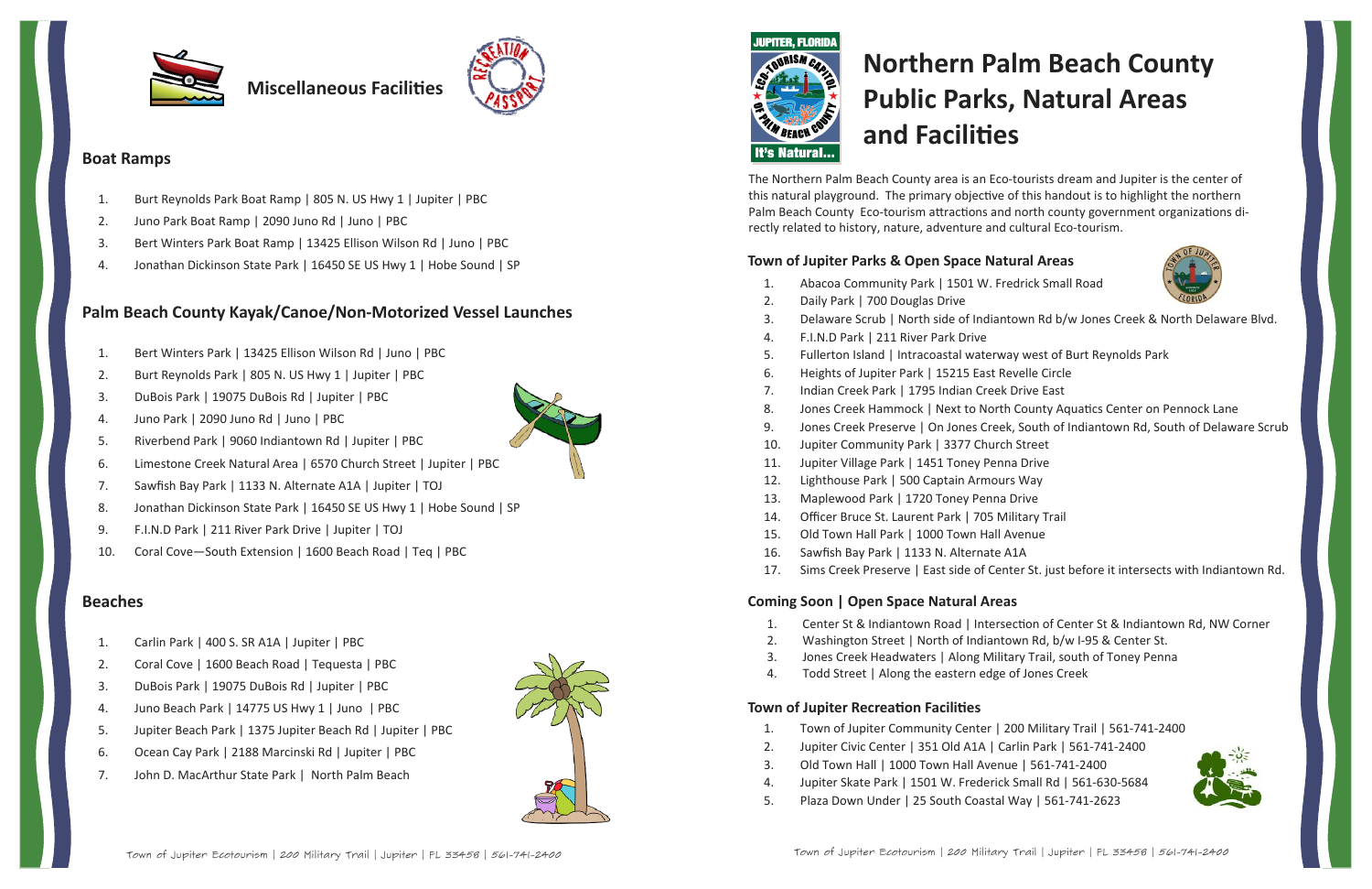# **Northern Palm Beach County Public Parks, Natural Areas and FaciliƟes**

### **Town of Jupiter Parks & Open Space Natural Areas**

Delaware Scrub | North side of Indiantown Rd b/w Jones Creek & North Delaware Blvd.

- 
- 
- 



- 1.Abacoa Community Park | 1501 W. Fredrick Small Road
- 2.Daily Park | 700 Douglas Drive
- 3.
- 4.F.I.N.D Park | 211 River Park Drive
- 5.Fullerton Island | Intracoastal waterway west of Burt Reynolds Park
- 6.Heights of Jupiter Park | 15215 East Revelle Circle
- 7.. Indian Creek Park | 1795 Indian Creek Drive East
- 8.. Jones Creek Hammock | Next to North County Aquatics Center on Pennock Lane
- 9. Jones Creek Preserve | On Jones Creek, South of Indiantown Rd, South of Delaware Scrub 10.Jupiter Community Park | 3377 Church Street
- 
- 11.Jupiter Village Park | 1451 Toney Penna Drive
- 12.Lighthouse Park | 500 Captain Armours Way
- 13.Maplewood Park | 1720 Toney Penna Drive
- 14.Officer Bruce St. Laurent Park | 705 Military Trail
- 15.Old Town Hall Park | 1000 Town Hall Avenue
- 16.Sawfish Bay Park | 1133 N. Alternate A1A
- 17.Sims Creek Preserve | East side of Center St. just before it intersects with Indiantown Rd.

- . Center St & Indiantown Road | Intersection of Center St & Indiantown Rd, NW Corner Washington Street | North of Indiantown Rd, b/w I-95 & Center St. Jones Creek Headwaters | Along Military Trail, south of Toney Penna
- 
- 1.2.3.
- 4.Todd Street | Along the eastern edge of Jones Creek

### **Coming Soon | Open Space Natural Areas**

### **Town of Jupiter RecreaƟon FaciliƟes**

- 1.Town of Jupiter Community Center | 200 Military Trail | 561‐741‐2400
- 2.Jupiter Civic Center | 351 Old A1A | Carlin Park | 561‐741‐2400
- 3.Old Town Hall | 1000 Town Hall Avenue | 561‐741‐2400
- 4.Jupiter Skate Park | 1501 W. Frederick Small Rd | 561‐630‐5684
- 5.Plaza Down Under | 25 South Coastal Way | 561‐741‐2623







**Miscellaneous FaciliƟes**



### **Boat Ramps**

- 1.Burt Reynolds Park Boat Ramp | 805 N. US Hwy 1 | Jupiter | PBC
- 2.Juno Park Boat Ramp | 2090 Juno Rd | Juno | PBC
- 3.Bert Winters Park Boat Ramp | 13425 Ellison Wilson Rd | Juno | PBC
- 4.Jonathan Dickinson State Park | 16450 SE US Hwy 1 | Hobe Sound | SP

### **Palm Beach County Kayak/Canoe/Non‐Motorized Vessel Launches**

- 1.Bert Winters Park | 13425 Ellison Wilson Rd | Juno | PBC
- 2.Burt Reynolds Park | 805 N. US Hwy 1 | Jupiter | PBC
- 3.DuBois Park | 19075 DuBois Rd | Jupiter | PBC
- 4.Juno Park | 2090 Juno Rd | Juno | PBC
- 5.Riverbend Park | 9060 Indiantown Rd | Jupiter | PBC
- 6.Limestone Creek Natural Area | 6570 Church Street | Jupiter | PBC
- 7.Sawfish Bay Park | 1133 N. Alternate A1A | Jupiter | TOJ
- 8.Jonathan Dickinson State Park | 16450 SE US Hwy 1 | Hobe Sound | SP
- 9.F.I.N.D Park | 211 River Park Drive | Jupiter | TOJ
- 10.Coral Cove—South Extension | 1600 Beach Road | Teq | PBC

### **Beaches**

- 1.Carlin Park | 400 S. SR A1A | Jupiter | PBC
- 2.Coral Cove | 1600 Beach Road | Tequesta | PBC
- 3.DuBois Park | 19075 DuBois Rd | Jupiter | PBC
- 4.Juno Beach Park | 14775 US Hwy 1 | Juno | PBC
- 5.Jupiter Beach Park | 1375 Jupiter Beach Rd | Jupiter | PBC
- 6.Ocean Cay Park | 2188 Marcinski Rd | Jupiter | PBC
- 7.John D. MacArthur State Park | North Palm Beach





The Northern Palm Beach County area is an Eco‐tourists dream and Jupiter is the center of this natural playground. The primary objective of this handout is to highlight the northern Palm Beach County Eco-tourism attractions and north county government organizations directly related to history, nature, adventure and cultural Eco‐tourism.